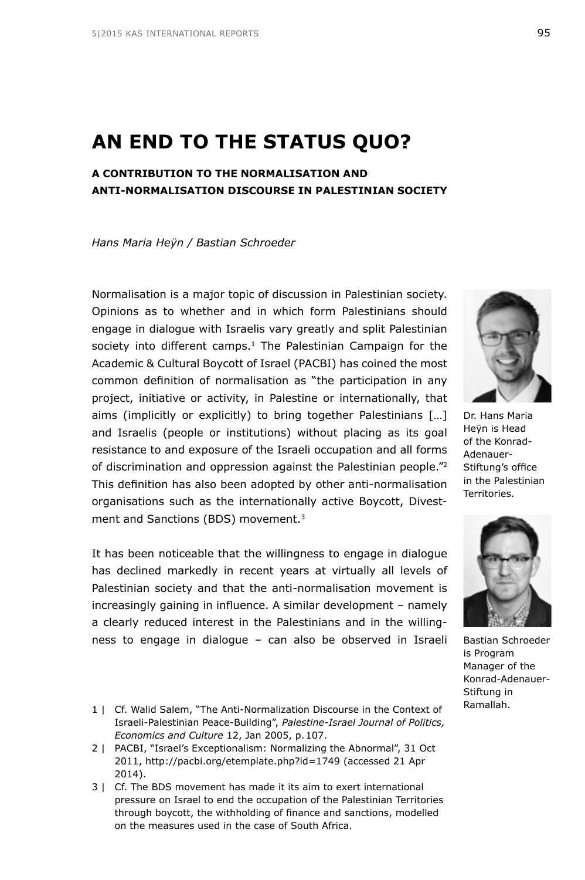# **AN END TO THE STATUS QUO?**

## **A CONTRIBUTION TO THE NORMALISATION AND ANTI-NORMALISATION DISCOURSE IN PALESTINIAN SOCIETY**

*Hans Maria Heÿn / Bastian Schroeder*

Normalisation is a major topic of discussion in Palestinian society. Opinions as to whether and in which form Palestinians should engage in dialogue with Israelis vary greatly and split Palestinian society into different camps.<sup>1</sup> The Palestinian Campaign for the Academic & Cultural Boycott of Israel (PACBI) has coined the most common definition of normalisation as "the participation in any project, initiative or activity, in Palestine or internationally, that aims (implicitly or explicitly) to bring together Palestinians […] and Israelis (people or institutions) without placing as its goal resistance to and exposure of the Israeli occupation and all forms of discrimination and oppression against the Palestinian people."2 This definition has also been adopted by other anti-normalisation organisations such as the internationally active Boycott, Divestment and Sanctions (BDS) movement.3

It has been noticeable that the willingness to engage in dialogue has declined markedly in recent years at virtually all levels of Palestinian society and that the anti-normalisation movement is increasingly gaining in influence. A similar development – namely a clearly reduced interest in the Palestinians and in the willingness to engage in dialogue – can also be observed in Israeli

- 1 | Cf. Walid Salem, "The Anti-Normalization Discourse in the Context of Israeli-Palestinian Peace-Building", *Palestine-Israel Journal of Politics, Economics and Culture* 12, Jan 2005, p.107.
- 2 | PACBI, "Israel's Exceptionalism: Normalizing the Abnormal", 31 Oct 2011, <http://pacbi.org/etemplate.php?id=1749> (accessed 21 Apr 2014).
- 3 | Cf. The BDS movement has made it its aim to exert international pressure on Israel to end the occupation of the Palestinian Territories through boycott, the withholding of finance and sanctions, modelled on the measures used in the case of South Africa.

Dr. Hans Maria Heÿn is Head of the Konrad-Adenauer-Stiftung's office

in the Palestinian Territories.

Bastian Schroeder is Program Manager of the Konrad-Adenauer-Stiftung in Ramallah.

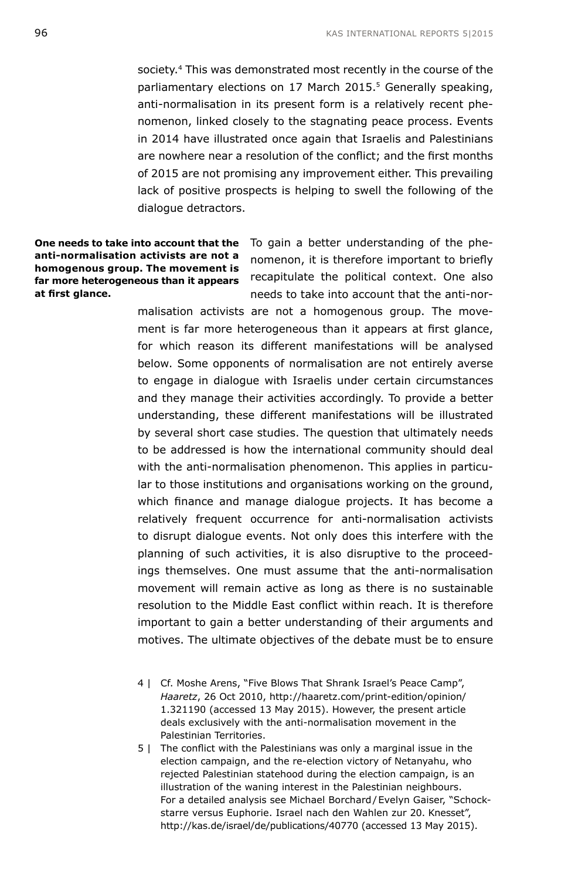society.<sup>4</sup> This was demonstrated most recently in the course of the parliamentary elections on 17 March 2015.<sup>5</sup> Generally speaking, anti-normalisation in its present form is a relatively recent phenomenon, linked closely to the stagnating peace process. Events in 2014 have illustrated once again that Israelis and Palestinians are nowhere near a resolution of the conflict; and the first months of 2015 are not promising any improvement either. This prevailing lack of positive prospects is helping to swell the following of the dialogue detractors.

**anti-normalisation activists are not a homogenous group. The movement is far more heterogeneous than it appears at first glance.**

**One needs to take into account that the** To gain a better understanding of the phenomenon, it is therefore important to briefly recapitulate the political context. One also needs to take into account that the anti-nor-

> malisation activists are not a homogenous group. The movement is far more heterogeneous than it appears at first glance, for which reason its different manifestations will be analysed below. Some opponents of normalisation are not entirely averse to engage in dialogue with Israelis under certain circumstances and they manage their activities accordingly. To provide a better understanding, these different manifestations will be illustrated by several short case studies. The question that ultimately needs to be addressed is how the international community should deal with the anti-normalisation phenomenon. This applies in particular to those institutions and organisations working on the ground, which finance and manage dialogue projects. It has become a relatively frequent occurrence for anti-normalisation activists to disrupt dialogue events. Not only does this interfere with the planning of such activities, it is also disruptive to the proceedings themselves. One must assume that the anti-normalisation movement will remain active as long as there is no sustainable resolution to the Middle East conflict within reach. It is therefore important to gain a better understanding of their arguments and motives. The ultimate objectives of the debate must be to ensure

- 4 | Cf. Moshe Arens, "Five Blows That Shrank Israel's Peace Camp", *Haaretz*, 26 Oct 2010, [http://haaretz.com/print-edition/opinion/](http://haaretz.com/print-edition/opinion/1.321190) [1.321190](http://haaretz.com/print-edition/opinion/1.321190) (accessed 13 May 2015). However, the present article deals exclusively with the anti-normalisation movement in the Palestinian Territories.
- 5 | The conflict with the Palestinians was only a marginal issue in the election campaign, and the re-election victory of Netanyahu, who rejected Palestinian statehood during the election campaign, is an illustration of the waning interest in the Palestinian neighbours. For a detailed analysis see Michael Borchard/Evelyn Gaiser, "Schockstarre versus Euphorie. Israel nach den Wahlen zur 20. Knesset", <http://kas.de/israel/de/publications/40770> (accessed 13 May 2015).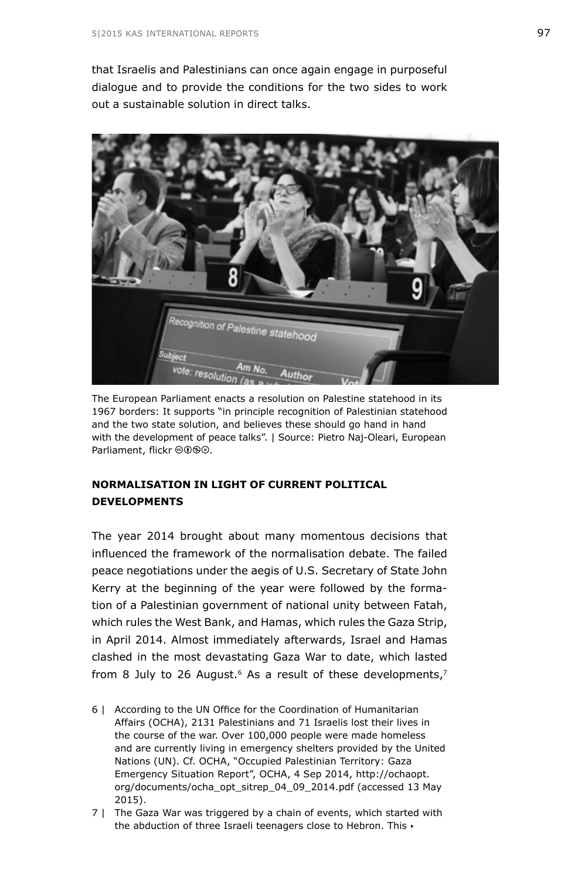that Israelis and Palestinians can once again engage in purposeful dialogue and to provide the conditions for the two sides to work out a sustainable solution in direct talks.



The European Parliament enacts a resolution on Palestine statehood in its 1967 borders: It supports "in principle recognition of Palestinian statehood and the two state solution, and believes these should go hand in hand with the development of peace talks". | Source: Pietro Naj-Oleari, European Parliament, flickr @0<sup>9</sup>.

## **NORMALISATION IN LIGHT OF CURRENT POLITICAL DEVELOPMENTS**

The year 2014 brought about many momentous decisions that influenced the framework of the normalisation debate. The failed peace negotiations under the aegis of U.S. Secretary of State John Kerry at the beginning of the year were followed by the formation of a Palestinian government of national unity between Fatah, which rules the West Bank, and Hamas, which rules the Gaza Strip, in April 2014. Almost immediately afterwards, Israel and Hamas clashed in the most devastating Gaza War to date, which lasted from 8 July to 26 August. $6$  As a result of these developments, $7$ 

- 6 | According to the UN Office for the Coordination of Humanitarian Affairs (OCHA), 2131 Palestinians and 71 Israelis lost their lives in the course of the war. Over 100,000 people were made homeless and are currently living in emergency shelters provided by the United Nations (UN). Cf. OCHA, "Occupied Palestinian Territory: Gaza Emergency Situation Report", OCHA, 4 Sep 2014, [http://ochaopt.](http://ochaopt.org/documents/ocha_opt_sitrep_04_09_2014.pdf) [org/documents/ocha\\_opt\\_sitrep\\_04\\_09\\_2014.pdf](http://ochaopt.org/documents/ocha_opt_sitrep_04_09_2014.pdf) (accessed 13 May 2015).
- 7 | The Gaza War was triggered by a chain of events, which started with the abduction of three Israeli teenagers close to Hebron. This ▸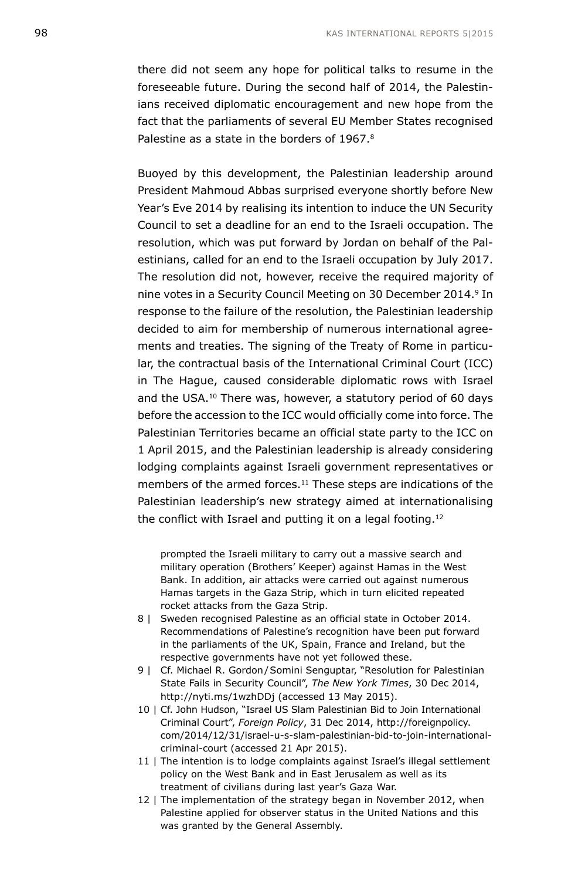there did not seem any hope for political talks to resume in the foreseeable future. During the second half of 2014, the Palestinians received diplomatic encouragement and new hope from the fact that the parliaments of several EU Member States recognised Palestine as a state in the borders of 1967.8

Buoyed by this development, the Palestinian leadership around President Mahmoud Abbas surprised everyone shortly before New Year's Eve 2014 by realising its intention to induce the UN Security Council to set a deadline for an end to the Israeli occupation. The resolution, which was put forward by Jordan on behalf of the Palestinians, called for an end to the Israeli occupation by July 2017. The resolution did not, however, receive the required majority of nine votes in a Security Council Meeting on 30 December 2014.<sup>9</sup> In response to the failure of the resolution, the Palestinian leadership decided to aim for membership of numerous international agreements and treaties. The signing of the Treaty of Rome in particular, the contractual basis of the International Criminal Court (ICC) in The Hague, caused considerable diplomatic rows with Israel and the USA.10 There was, however, a statutory period of 60 days before the accession to the ICC would officially come into force. The Palestinian Territories became an official state party to the ICC on 1 April 2015, and the Palestinian leadership is already considering lodging complaints against Israeli government representatives or members of the armed forces.<sup>11</sup> These steps are indications of the Palestinian leadership's new strategy aimed at internationalising the conflict with Israel and putting it on a legal footing.<sup>12</sup>

prompted the Israeli military to carry out a massive search and military operation (Brothers' Keeper) against Hamas in the West Bank. In addition, air attacks were carried out against numerous Hamas targets in the Gaza Strip, which in turn elicited repeated rocket attacks from the Gaza Strip.

- 8 | Sweden recognised Palestine as an official state in October 2014. Recommendations of Palestine's recognition have been put forward in the parliaments of the UK, Spain, France and Ireland, but the respective governments have not yet followed these.
- 9 | Cf. Michael R. Gordon / Somini Senguptar, "Resolution for Palestinian State Fails in Security Council", *The New York Times*, 30 Dec 2014, <http://nyti.ms/1wzhDDj> (accessed 13 May 2015).
- 10 | Cf. John Hudson, "Israel US Slam Palestinian Bid to Join International Criminal Court", *Foreign Policy*, 31 Dec 2014, [http://foreignpolicy.](http://foreignpolicy.com/2014/12/31/israel-u-s-slam-palestinian-bid-to-join-international-criminal-court) [com/2014/12/31/israel-u-s-slam-palestinian-bid-to-join-international](http://foreignpolicy.com/2014/12/31/israel-u-s-slam-palestinian-bid-to-join-international-criminal-court)[criminal-court](http://foreignpolicy.com/2014/12/31/israel-u-s-slam-palestinian-bid-to-join-international-criminal-court) (accessed 21 Apr 2015).
- 11 | The intention is to lodge complaints against Israel's illegal settlement policy on the West Bank and in East Jerusalem as well as its treatment of civilians during last year's Gaza War.
- 12 | The implementation of the strategy began in November 2012, when Palestine applied for observer status in the United Nations and this was granted by the General Assembly.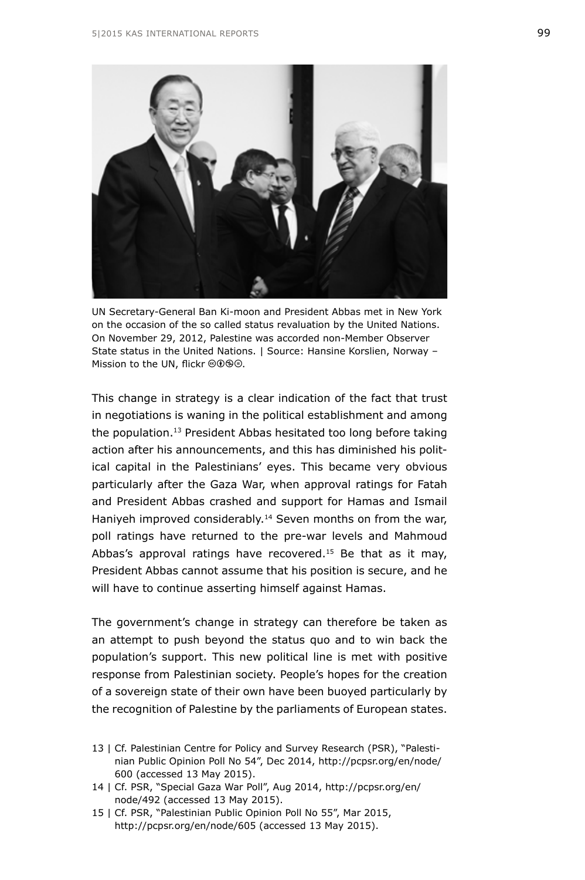

UN Secretary-General Ban Ki-moon and President Abbas met in New York on the occasion of the so called status revaluation by the United Nations. On November 29, 2012, Palestine was accorded non-Member Observer State status in the United Nations. | Source: Hansine Korslien, Norway – Mission to the UN, flickr @090.

This change in strategy is a clear indication of the fact that trust in negotiations is waning in the political establishment and among the population.<sup>13</sup> President Abbas hesitated too long before taking action after his announcements, and this has diminished his political capital in the Palestinians' eyes. This became very obvious particularly after the Gaza War, when approval ratings for Fatah and President Abbas crashed and support for Hamas and Ismail Haniyeh improved considerably.<sup>14</sup> Seven months on from the war, poll ratings have returned to the pre-war levels and Mahmoud Abbas's approval ratings have recovered.<sup>15</sup> Be that as it may, President Abbas cannot assume that his position is secure, and he will have to continue asserting himself against Hamas.

The government's change in strategy can therefore be taken as an attempt to push beyond the status quo and to win back the population's support. This new political line is met with positive response from Palestinian society. People's hopes for the creation of a sovereign state of their own have been buoyed particularly by the recognition of Palestine by the parliaments of European states.

- 13 | Cf. Palestinian Centre for Policy and Survey Research (PSR), "Palestinian Public Opinion Poll No 54", Dec 2014, [http://pcpsr.org/en/node/](http://pcpsr.org/en/node/600) [600](http://pcpsr.org/en/node/600) (accessed 13 May 2015).
- 14 | Cf. PSR, "Special Gaza War Poll", Aug 2014, [http://pcpsr.org/en/](http://pcpsr.org/en/node/492) [node/492](http://pcpsr.org/en/node/492) (accessed 13 May 2015).
- 15 | Cf. PSR, "Palestinian Public Opinion Poll No 55", Mar 2015, <http://pcpsr.org/en/node/605> (accessed 13 May 2015).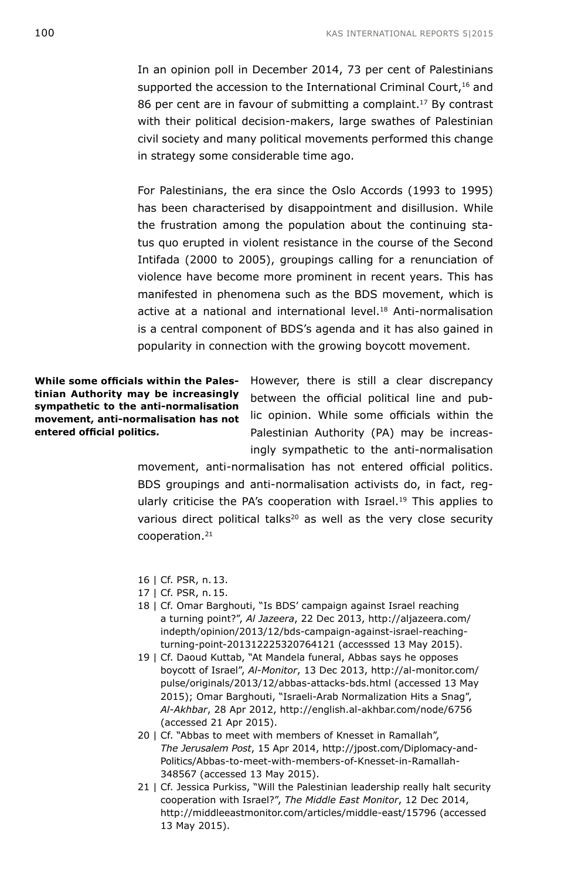In an opinion poll in December 2014, 73 per cent of Palestinians supported the accession to the International Criminal Court,<sup>16</sup> and 86 per cent are in favour of submitting a complaint.<sup>17</sup> By contrast with their political decision-makers, large swathes of Palestinian civil society and many political movements performed this change in strategy some considerable time ago.

For Palestinians, the era since the Oslo Accords (1993 to 1995) has been characterised by disappointment and disillusion. While the frustration among the population about the continuing status quo erupted in violent resistance in the course of the Second Intifada (2000 to 2005), groupings calling for a renunciation of violence have become more prominent in recent years. This has manifested in phenomena such as the BDS movement, which is active at a national and international level.<sup>18</sup> Anti-normalisation is a central component of BDS's agenda and it has also gained in popularity in connection with the growing boycott movement.

**While some officials within the Palestinian Authority may be increasingly sympathetic to the anti-normalisation movement, anti-normalisation has not entered official politics.**

However, there is still a clear discrepancy between the official political line and public opinion. While some officials within the Palestinian Authority (PA) may be increasingly sympathetic to the anti-normalisation

movement, anti-normalisation has not entered official politics. BDS groupings and anti-normalisation activists do, in fact, regularly criticise the PA's cooperation with Israel.<sup>19</sup> This applies to various direct political talks<sup>20</sup> as well as the very close security cooperation.21

- 16 | Cf. PSR, n.13.
- 17 | Cf. PSR, n.15.
- 18 | Cf. Omar Barghouti, "Is BDS' campaign against Israel reaching a turning point?", *Al Jazeera*, 22 Dec 2013, [http://aljazeera.com/](http://aljazeera.com/indepth/opinion/2013/12/bds-campaign-against-israel-reaching-turning-point-201312225320764121) [indepth/opinion/2013/12/bds-campaign-against-israel-reaching](http://aljazeera.com/indepth/opinion/2013/12/bds-campaign-against-israel-reaching-turning-point-201312225320764121)[turning-point-201312225320764121](http://aljazeera.com/indepth/opinion/2013/12/bds-campaign-against-israel-reaching-turning-point-201312225320764121) (accesssed 13 May 2015).
- 19 | Cf. Daoud Kuttab, "At Mandela funeral, Abbas says he opposes boycott of Israel", *Al-Monitor*, 13 Dec 2013, [http://al-monitor.com/](http://al-monitor.com/pulse/originals/2013/12/abbas-attacks-bds.html) [pulse/originals/2013/12/abbas-attacks-bds.html](http://al-monitor.com/pulse/originals/2013/12/abbas-attacks-bds.html) (accessed 13 May 2015); Omar Barghouti, "Israeli-Arab Normalization Hits a Snag", *Al-Akhbar*, 28 Apr 2012, <http://english.al-akhbar.com/node/6756> (accessed 21 Apr 2015).
- 20 | Cf. "Abbas to meet with members of Knesset in Ramallah", *The Jerusalem Post*, 15 Apr 2014, [http://jpost.com/Diplomacy-and-](http://jpost.com/Diplomacy-and-Politics/Abbas-to-meet-with-members-of-Knesset-in-Ramallah-348567)[Politics/Abbas-to-meet-with-members-of-Knesset-in-Ramallah-](http://jpost.com/Diplomacy-and-Politics/Abbas-to-meet-with-members-of-Knesset-in-Ramallah-348567)[348567](http://jpost.com/Diplomacy-and-Politics/Abbas-to-meet-with-members-of-Knesset-in-Ramallah-348567) (accessed 13 May 2015).
- 21 | Cf. Jessica Purkiss, "Will the Palestinian leadership really halt security cooperation with Israel?", *The Middle East Monitor*, 12 Dec 2014, <http://middleeastmonitor.com/articles/middle-east/15796> (accessed 13 May 2015).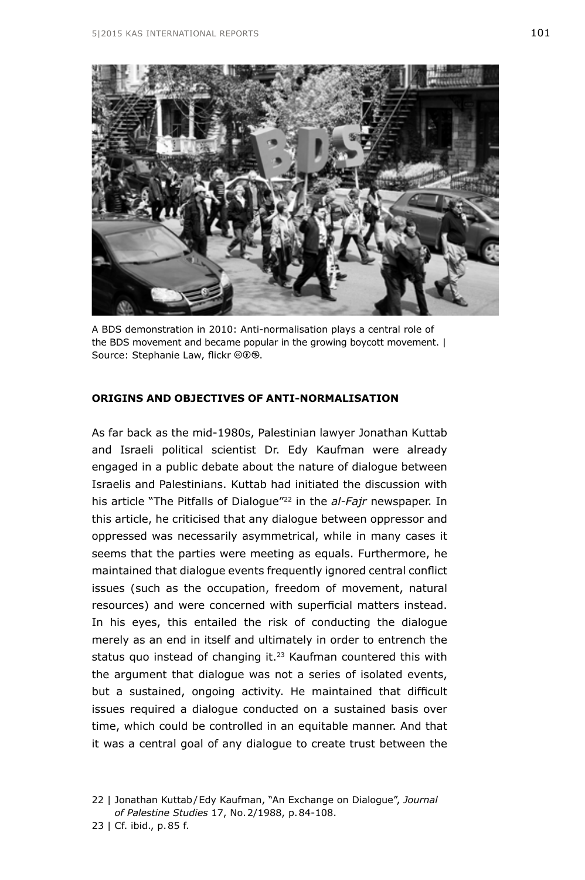

A BDS demonstration in 2010: Anti-normalisation plays a central role of the BDS movement and became popular in the growing boycott movement. | Source: Stephanie Law, flickr @00.

### **ORIGINS AND OBJECTIVES OF ANTI-NORMALISATION**

As far back as the mid-1980s, Palestinian lawyer Jonathan Kuttab and Israeli political scientist Dr. Edy Kaufman were already engaged in a public debate about the nature of dialogue between Israelis and Palestinians. Kuttab had initiated the discussion with his article "The Pitfalls of Dialogue"22 in the *al-Fajr* newspaper. In this article, he criticised that any dialogue between oppressor and oppressed was necessarily asymmetrical, while in many cases it seems that the parties were meeting as equals. Furthermore, he maintained that dialogue events frequently ignored central conflict issues (such as the occupation, freedom of movement, natural resources) and were concerned with superficial matters instead. In his eyes, this entailed the risk of conducting the dialogue merely as an end in itself and ultimately in order to entrench the status quo instead of changing it.<sup>23</sup> Kaufman countered this with the argument that dialogue was not a series of isolated events, but a sustained, ongoing activity. He maintained that difficult issues required a dialogue conducted on a sustained basis over time, which could be controlled in an equitable manner. And that it was a central goal of any dialogue to create trust between the

<sup>22 |</sup> Jonathan Kuttab/Edy Kaufman, "An Exchange on Dialogue", *Journal of Palestine Studies* 17, No.2/1988, p.84-108.

<sup>23 |</sup> Cf. ibid., p.85 f.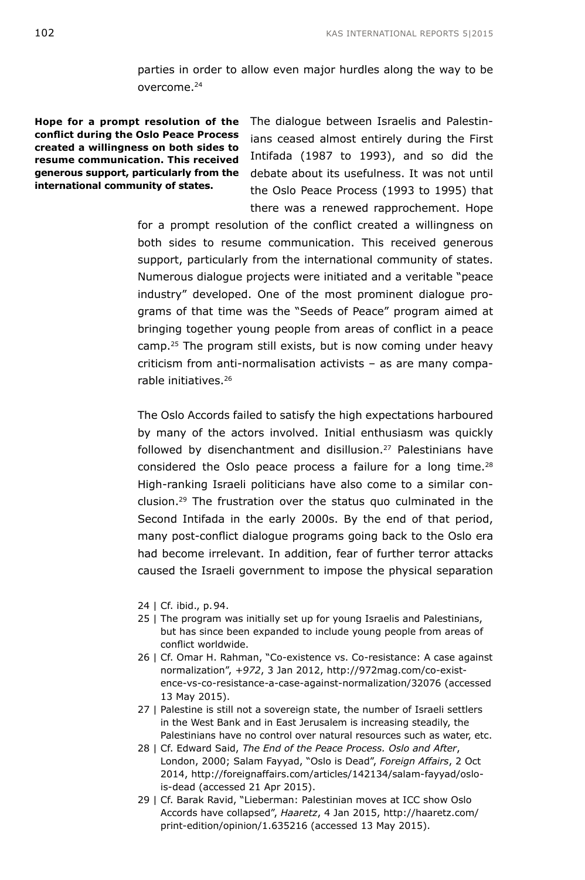parties in order to allow even major hurdles along the way to be overcome.<sup>24</sup>

**conflict during the Oslo Peace Process created a willingness on both sides to resume communication. This received generous support, particularly from the international community of states.** 

**Hope for a prompt resolution of the** The dialogue between Israelis and Palestinians ceased almost entirely during the First Intifada (1987 to 1993), and so did the debate about its usefulness. It was not until the Oslo Peace Process (1993 to 1995) that there was a renewed rapprochement. Hope

> for a prompt resolution of the conflict created a willingness on both sides to resume communication. This received generous support, particularly from the international community of states. Numerous dialogue projects were initiated and a veritable "peace industry" developed. One of the most prominent dialogue programs of that time was the "Seeds of Peace" program aimed at bringing together young people from areas of conflict in a peace camp.25 The program still exists, but is now coming under heavy criticism from anti-normalisation activists – as are many comparable initiatives<sup>26</sup>

> The Oslo Accords failed to satisfy the high expectations harboured by many of the actors involved. Initial enthusiasm was quickly followed by disenchantment and disillusion.<sup>27</sup> Palestinians have considered the Oslo peace process a failure for a long time.<sup>28</sup> High-ranking Israeli politicians have also come to a similar conclusion.29 The frustration over the status quo culminated in the Second Intifada in the early 2000s. By the end of that period, many post-conflict dialogue programs going back to the Oslo era had become irrelevant. In addition, fear of further terror attacks caused the Israeli government to impose the physical separation

- 24 | Cf. ibid., p.94.
- 25 | The program was initially set up for young Israelis and Palestinians, but has since been expanded to include young people from areas of conflict worldwide.
- 26 | Cf. Omar H. Rahman, "Co-existence vs. Co-resistance: A case against normalization", *+972*, 3 Jan 2012, [http://972mag.com/co-exist](http://972mag.com/co-existence-vs-co-resistance-a-case-against-normalization/32076)[ence-vs-co-resistance-a-case-against-normalization/32076](http://972mag.com/co-existence-vs-co-resistance-a-case-against-normalization/32076) (accessed 13 May 2015).
- 27 | Palestine is still not a sovereign state, the number of Israeli settlers in the West Bank and in East Jerusalem is increasing steadily, the Palestinians have no control over natural resources such as water, etc.
- 28 | Cf. Edward Said, *The End of the Peace Process. Oslo and After*, London, 2000; Salam Fayyad, "Oslo is Dead", *Foreign Affairs*, 2 Oct 2014, [http://foreignaffairs.com/articles/142134/salam-fayyad/oslo](http://foreignaffairs.com/articles/142134/salam-fayyad/oslo-is-dead)[is-dead](http://foreignaffairs.com/articles/142134/salam-fayyad/oslo-is-dead) (accessed 21 Apr 2015).
- 29 | Cf. Barak Ravid, "Lieberman: Palestinian moves at ICC show Oslo Accords have collapsed", *Haaretz*, 4 Jan 2015, [http://haaretz.com/](http://haaretz.com/print-edition/opinion/1.635216) [print-edition/opinion/1.635216](http://haaretz.com/print-edition/opinion/1.635216) (accessed 13 May 2015).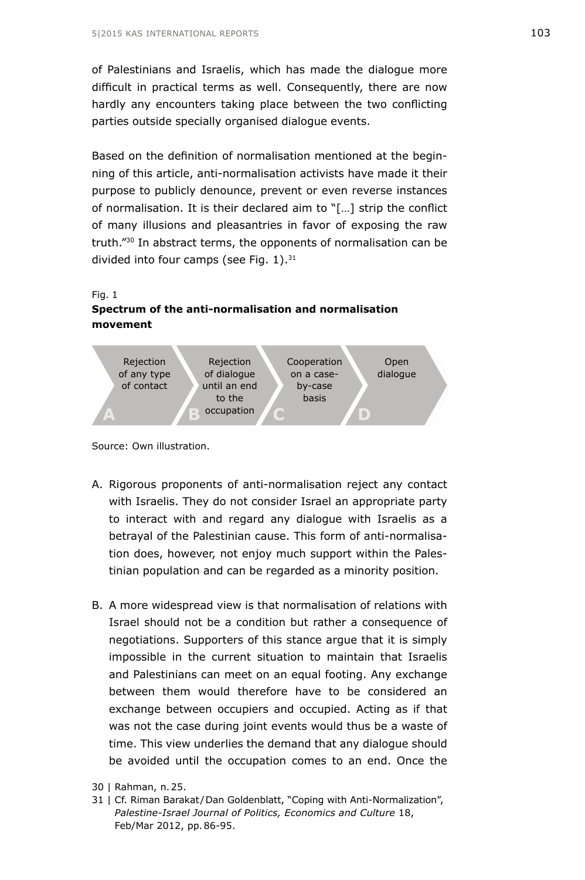of Palestinians and Israelis, which has made the dialogue more difficult in practical terms as well. Consequently, there are now hardly any encounters taking place between the two conflicting parties outside specially organised dialogue events.

Based on the definition of normalisation mentioned at the beginning of this article, anti-normalisation activists have made it their purpose to publicly denounce, prevent or even reverse instances of normalisation. It is their declared aim to "[…] strip the conflict of many illusions and pleasantries in favor of exposing the raw truth."30 In abstract terms, the opponents of normalisation can be divided into four camps (see Fig. 1).<sup>31</sup>



### **Spectrum of the anti-normalisation and normalisation movement**



Source: Own illustration.

- A. Rigorous proponents of anti-normalisation reject any contact with Israelis. They do not consider Israel an appropriate party to interact with and regard any dialogue with Israelis as a betrayal of the Palestinian cause. This form of anti-normalisation does, however, not enjoy much support within the Palestinian population and can be regarded as a minority position.
- B. A more widespread view is that normalisation of relations with Israel should not be a condition but rather a consequence of negotiations. Supporters of this stance argue that it is simply impossible in the current situation to maintain that Israelis and Palestinians can meet on an equal footing. Any exchange between them would therefore have to be considered an exchange between occupiers and occupied. Acting as if that was not the case during joint events would thus be a waste of time. This view underlies the demand that any dialogue should be avoided until the occupation comes to an end. Once the

<sup>30 |</sup> Rahman, n.25.

<sup>31 |</sup> Cf. Riman Barakat/Dan Goldenblatt, "Coping with Anti-Normalization", *Palestine-Israel Journal of Politics, Economics and Culture* 18, Feb/Mar 2012, pp.86-95.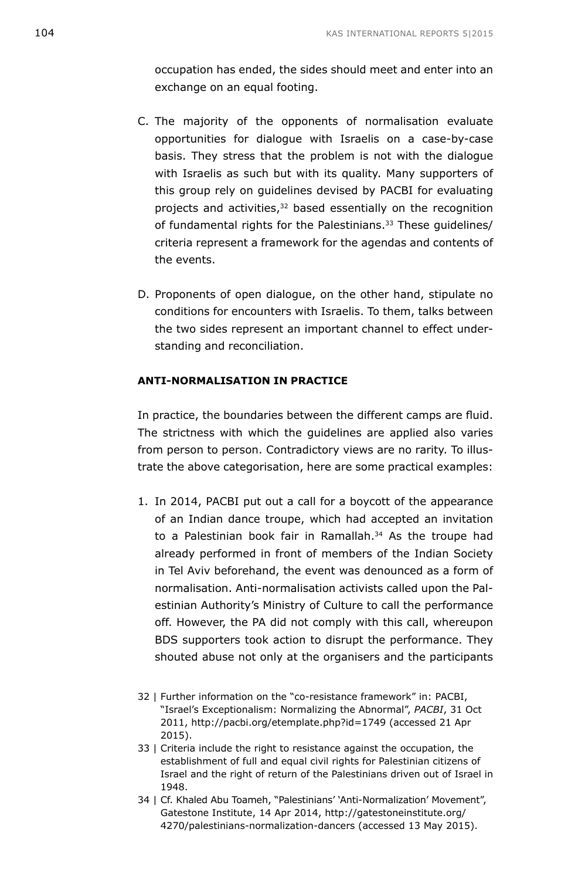occupation has ended, the sides should meet and enter into an exchange on an equal footing.

- C. The majority of the opponents of normalisation evaluate opportunities for dialogue with Israelis on a case-by-case basis. They stress that the problem is not with the dialogue with Israelis as such but with its quality. Many supporters of this group rely on guidelines devised by PACBI for evaluating projects and activities,<sup>32</sup> based essentially on the recognition of fundamental rights for the Palestinians.<sup>33</sup> These guidelines/ criteria represent a framework for the agendas and contents of the events.
- D. Proponents of open dialogue, on the other hand, stipulate no conditions for encounters with Israelis. To them, talks between the two sides represent an important channel to effect understanding and reconciliation.

#### **ANTI-NORMALISATION IN PRACTICE**

In practice, the boundaries between the different camps are fluid. The strictness with which the guidelines are applied also varies from person to person. Contradictory views are no rarity. To illustrate the above categorisation, here are some practical examples:

- 1. In 2014, PACBI put out a call for a boycott of the appearance of an Indian dance troupe, which had accepted an invitation to a Palestinian book fair in Ramallah.<sup>34</sup> As the troupe had already performed in front of members of the Indian Society in Tel Aviv beforehand, the event was denounced as a form of normalisation. Anti-normalisation activists called upon the Palestinian Authority's Ministry of Culture to call the performance off. However, the PA did not comply with this call, whereupon BDS supporters took action to disrupt the performance. They shouted abuse not only at the organisers and the participants
- 32 | Further information on the "co-resistance framework" in: PACBI, "Israel's Exceptionalism: Normalizing the Abnormal", *PACBI*, 31 Oct 2011, <http://pacbi.org/etemplate.php?id=1749> (accessed 21 Apr 2015).
- 33 | Criteria include the right to resistance against the occupation, the establishment of full and equal civil rights for Palestinian citizens of Israel and the right of return of the Palestinians driven out of Israel in 1948.
- 34 | Cf. Khaled Abu Toameh, "Palestinians' 'Anti-Normalization' Movement", Gatestone Institute, 14 Apr 2014, [http://gatestoneinstitute.org/](http://gatestoneinstitute.org/4270/palestinians-normalization-dancers) [4270/palestinians-normalization-dancers](http://gatestoneinstitute.org/4270/palestinians-normalization-dancers) (accessed 13 May 2015).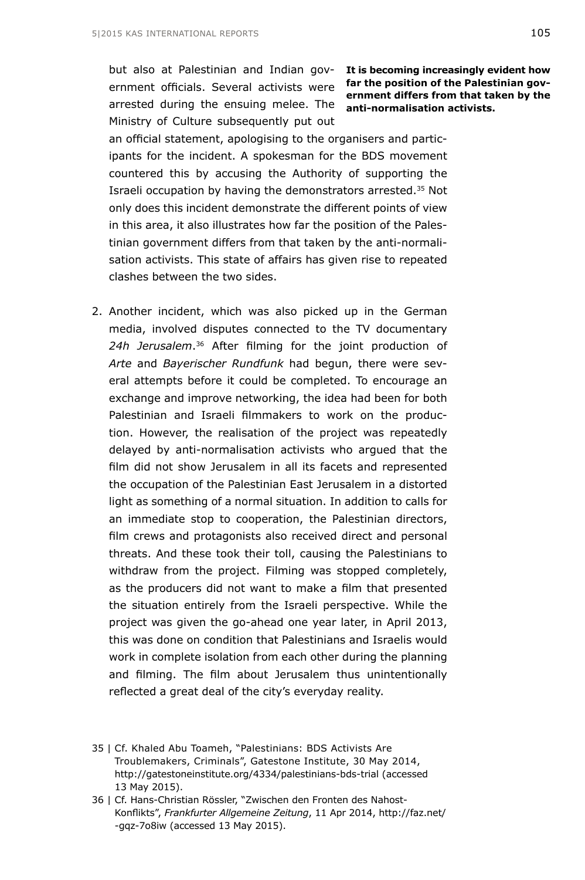but also at Palestinian and Indian gov-**It is becoming increasingly evident how**  ernment officials. Several activists were **far the position of the Palestinian gov**arrested during the ensuing melee. The **anti-normalisation activists.** Ministry of Culture subsequently put out

**ernment differs from that taken by the** 

an official statement, apologising to the organisers and participants for the incident. A spokesman for the BDS movement countered this by accusing the Authority of supporting the Israeli occupation by having the demonstrators arrested.35 Not only does this incident demonstrate the different points of view in this area, it also illustrates how far the position of the Palestinian government differs from that taken by the anti-normalisation activists. This state of affairs has given rise to repeated clashes between the two sides.

2. Another incident, which was also picked up in the German media, involved disputes connected to the TV documentary *24h Jerusalem*.36 After filming for the joint production of *Arte* and *Bayerischer Rundfunk* had begun, there were several attempts before it could be completed. To encourage an exchange and improve networking, the idea had been for both Palestinian and Israeli filmmakers to work on the production. However, the realisation of the project was repeatedly delayed by anti-normalisation activists who argued that the film did not show Jerusalem in all its facets and represented the occupation of the Palestinian East Jerusalem in a distorted light as something of a normal situation. In addition to calls for an immediate stop to cooperation, the Palestinian directors, film crews and protagonists also received direct and personal threats. And these took their toll, causing the Palestinians to withdraw from the project. Filming was stopped completely, as the producers did not want to make a film that presented the situation entirely from the Israeli perspective. While the project was given the go-ahead one year later, in April 2013, this was done on condition that Palestinians and Israelis would work in complete isolation from each other during the planning and filming. The film about Jerusalem thus unintentionally reflected a great deal of the city's everyday reality.

<sup>35 |</sup> Cf. Khaled Abu Toameh, "Palestinians: BDS Activists Are Troublemakers, Criminals", Gatestone Institute, 30 May 2014, <http://gatestoneinstitute.org/4334/palestinians-bds-trial> (accessed 13 May 2015).

<sup>36 |</sup> Cf. Hans-Christian Rössler, "Zwischen den Fronten des Nahost-Konflikts", *Frankfurter Allgemeine Zeitung*, 11 Apr 2014, [http://faz.net/](http://faz.net/-gqz-7o8iw) [-gqz-7o8iw](http://faz.net/-gqz-7o8iw) (accessed 13 May 2015).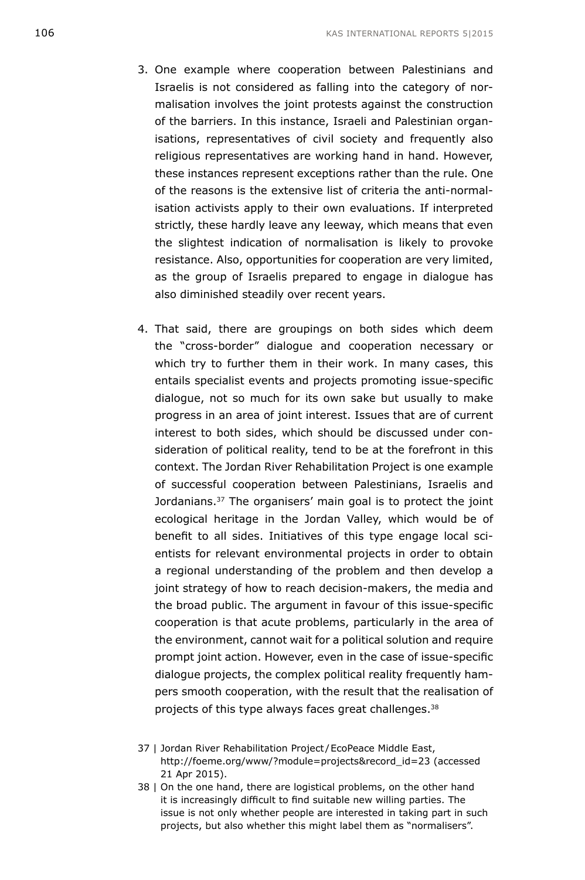- 3. One example where cooperation between Palestinians and Israelis is not considered as falling into the category of normalisation involves the joint protests against the construction of the barriers. In this instance, Israeli and Palestinian organisations, representatives of civil society and frequently also religious representatives are working hand in hand. However, these instances represent exceptions rather than the rule. One of the reasons is the extensive list of criteria the anti-normalisation activists apply to their own evaluations. If interpreted strictly, these hardly leave any leeway, which means that even the slightest indication of normalisation is likely to provoke resistance. Also, opportunities for cooperation are very limited, as the group of Israelis prepared to engage in dialogue has also diminished steadily over recent years.
- 4. That said, there are groupings on both sides which deem the "cross-border" dialogue and cooperation necessary or which try to further them in their work. In many cases, this entails specialist events and projects promoting issue-specific dialogue, not so much for its own sake but usually to make progress in an area of joint interest. Issues that are of current interest to both sides, which should be discussed under consideration of political reality, tend to be at the forefront in this context. The Jordan River Rehabilitation Project is one example of successful cooperation between Palestinians, Israelis and Jordanians.<sup>37</sup> The organisers' main goal is to protect the joint ecological heritage in the Jordan Valley, which would be of benefit to all sides. Initiatives of this type engage local scientists for relevant environmental projects in order to obtain a regional understanding of the problem and then develop a joint strategy of how to reach decision-makers, the media and the broad public. The argument in favour of this issue-specific cooperation is that acute problems, particularly in the area of the environment, cannot wait for a political solution and require prompt joint action. However, even in the case of issue-specific dialogue projects, the complex political reality frequently hampers smooth cooperation, with the result that the realisation of projects of this type always faces great challenges.38
- 37 | Jordan River Rehabilitation Project /EcoPeace Middle East, [http://foeme.org/www/?module=projects&record\\_id=23](http://foeme.org/www/?module=projects&record_id=23) (accessed 21 Apr 2015).
- 38 | On the one hand, there are logistical problems, on the other hand it is increasingly difficult to find suitable new willing parties. The issue is not only whether people are interested in taking part in such projects, but also whether this might label them as "normalisers".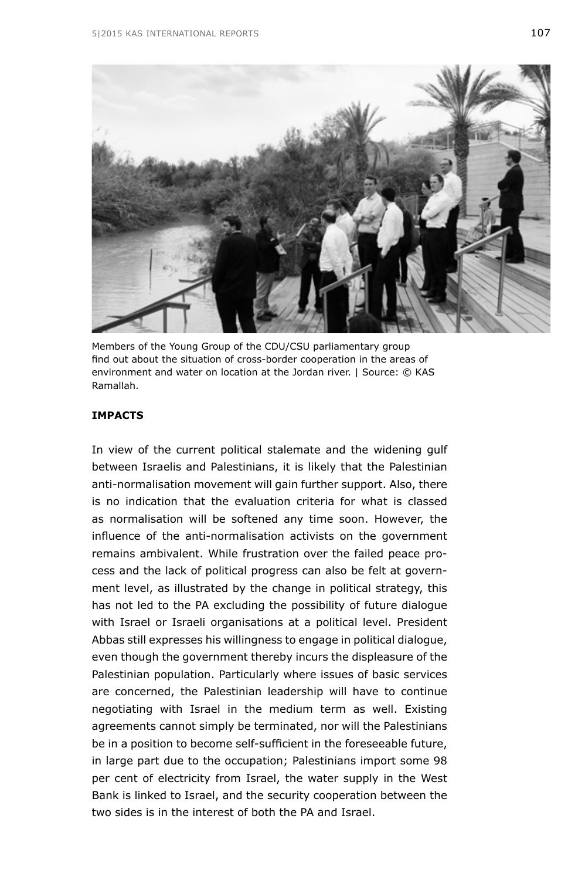

Members of the Young Group of the CDU/CSU parliamentary group find out about the situation of cross-border cooperation in the areas of environment and water on location at the Jordan river. | Source: © KAS Ramallah.

### **IMPACTS**

In view of the current political stalemate and the widening gulf between Israelis and Palestinians, it is likely that the Palestinian anti-normalisation movement will gain further support. Also, there is no indication that the evaluation criteria for what is classed as normalisation will be softened any time soon. However, the influence of the anti-normalisation activists on the government remains ambivalent. While frustration over the failed peace process and the lack of political progress can also be felt at government level, as illustrated by the change in political strategy, this has not led to the PA excluding the possibility of future dialogue with Israel or Israeli organisations at a political level. President Abbas still expresses his willingness to engage in political dialogue, even though the government thereby incurs the displeasure of the Palestinian population. Particularly where issues of basic services are concerned, the Palestinian leadership will have to continue negotiating with Israel in the medium term as well. Existing agreements cannot simply be terminated, nor will the Palestinians be in a position to become self-sufficient in the foreseeable future, in large part due to the occupation; Palestinians import some 98 per cent of electricity from Israel, the water supply in the West Bank is linked to Israel, and the security cooperation between the two sides is in the interest of both the PA and Israel.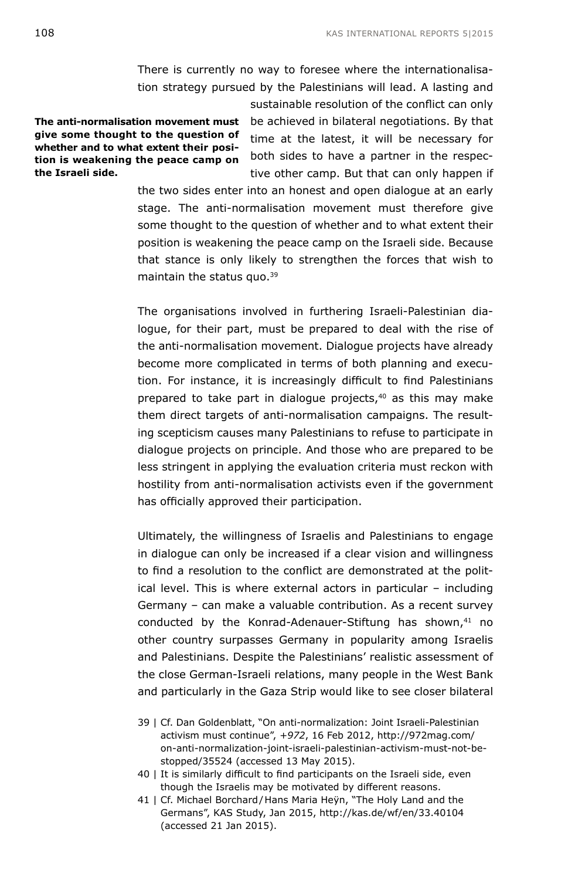There is currently no way to foresee where the internationalisation strategy pursued by the Palestinians will lead. A lasting and

**The anti-normalisation movement must give some thought to the question of whether and to what extent their position is weakening the peace camp on the Israeli side.**

sustainable resolution of the conflict can only be achieved in bilateral negotiations. By that time at the latest, it will be necessary for both sides to have a partner in the respective other camp. But that can only happen if

the two sides enter into an honest and open dialogue at an early stage. The anti-normalisation movement must therefore give some thought to the question of whether and to what extent their position is weakening the peace camp on the Israeli side. Because that stance is only likely to strengthen the forces that wish to maintain the status quo.39

The organisations involved in furthering Israeli-Palestinian dialogue, for their part, must be prepared to deal with the rise of the anti-normalisation movement. Dialogue projects have already become more complicated in terms of both planning and execution. For instance, it is increasingly difficult to find Palestinians prepared to take part in dialogue projects,<sup>40</sup> as this may make them direct targets of anti-normalisation campaigns. The resulting scepticism causes many Palestinians to refuse to participate in dialogue projects on principle. And those who are prepared to be less stringent in applying the evaluation criteria must reckon with hostility from anti-normalisation activists even if the government has officially approved their participation.

Ultimately, the willingness of Israelis and Palestinians to engage in dialogue can only be increased if a clear vision and willingness to find a resolution to the conflict are demonstrated at the political level. This is where external actors in particular – including Germany – can make a valuable contribution. As a recent survey conducted by the Konrad-Adenauer-Stiftung has shown,<sup>41</sup> no other country surpasses Germany in popularity among Israelis and Palestinians. Despite the Palestinians' realistic assessment of the close German-Israeli relations, many people in the West Bank and particularly in the Gaza Strip would like to see closer bilateral

- 39 | Cf. Dan Goldenblatt, "On anti-normalization: Joint Israeli-Palestinian activism must continue", *+972*, 16 Feb 2012, [http://972mag.com/](http://972mag.com/on-anti-normalization-joint-israeli-palestinian-activism-must-not-be-stopped/35524) [on-anti-normalization-joint-israeli-palestinian-activism-must-not-be](http://972mag.com/on-anti-normalization-joint-israeli-palestinian-activism-must-not-be-stopped/35524)[stopped/35524](http://972mag.com/on-anti-normalization-joint-israeli-palestinian-activism-must-not-be-stopped/35524) (accessed 13 May 2015).
- 40 | It is similarly difficult to find participants on the Israeli side, even though the Israelis may be motivated by different reasons.
- 41 | Cf. Michael Borchard/Hans Maria Heÿn, "The Holy Land and the Germans", KAS Study, Jan 2015, <http://kas.de/wf/en/33.40104> (accessed 21 Jan 2015).